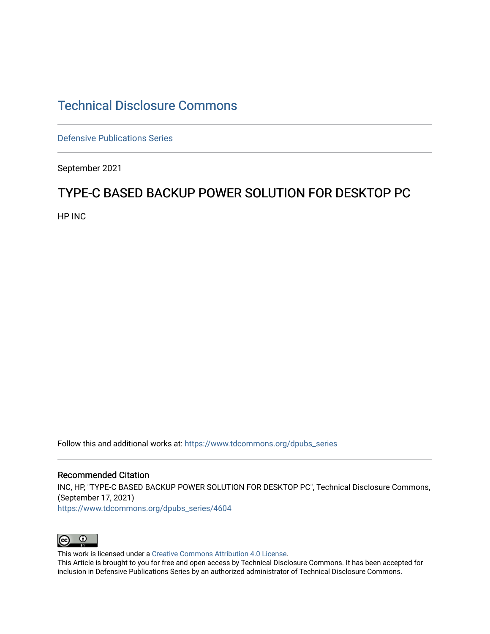# [Technical Disclosure Commons](https://www.tdcommons.org/)

[Defensive Publications Series](https://www.tdcommons.org/dpubs_series)

September 2021

## TYPE-C BASED BACKUP POWER SOLUTION FOR DESKTOP PC

HP INC

Follow this and additional works at: [https://www.tdcommons.org/dpubs\\_series](https://www.tdcommons.org/dpubs_series?utm_source=www.tdcommons.org%2Fdpubs_series%2F4604&utm_medium=PDF&utm_campaign=PDFCoverPages) 

### Recommended Citation

INC, HP, "TYPE-C BASED BACKUP POWER SOLUTION FOR DESKTOP PC", Technical Disclosure Commons, (September 17, 2021)

[https://www.tdcommons.org/dpubs\\_series/4604](https://www.tdcommons.org/dpubs_series/4604?utm_source=www.tdcommons.org%2Fdpubs_series%2F4604&utm_medium=PDF&utm_campaign=PDFCoverPages)



This work is licensed under a [Creative Commons Attribution 4.0 License](http://creativecommons.org/licenses/by/4.0/deed.en_US).

This Article is brought to you for free and open access by Technical Disclosure Commons. It has been accepted for inclusion in Defensive Publications Series by an authorized administrator of Technical Disclosure Commons.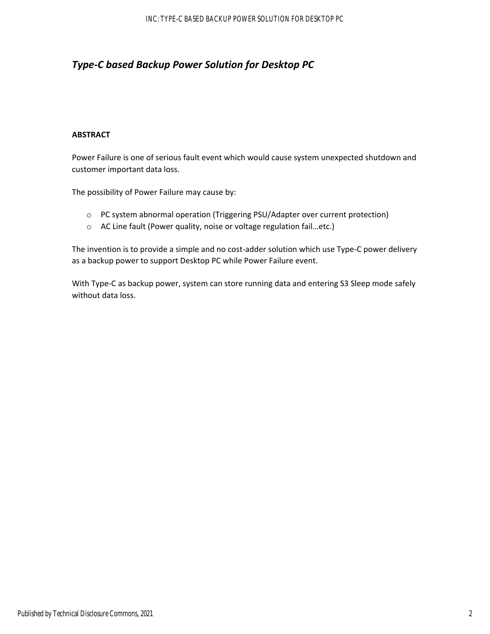### *Type‐C based Backup Power Solution for Desktop PC*

#### **ABSTRACT**

Power Failure is one of serious fault event which would cause system unexpected shutdown and customer important data loss.

The possibility of Power Failure may cause by:

- o PC system abnormal operation (Triggering PSU/Adapter over current protection)
- o AC Line fault (Power quality, noise or voltage regulation fail…etc.)

The invention is to provide a simple and no cost-adder solution which use Type-C power delivery as a backup power to support Desktop PC while Power Failure event.

With Type-C as backup power, system can store running data and entering S3 Sleep mode safely without data loss.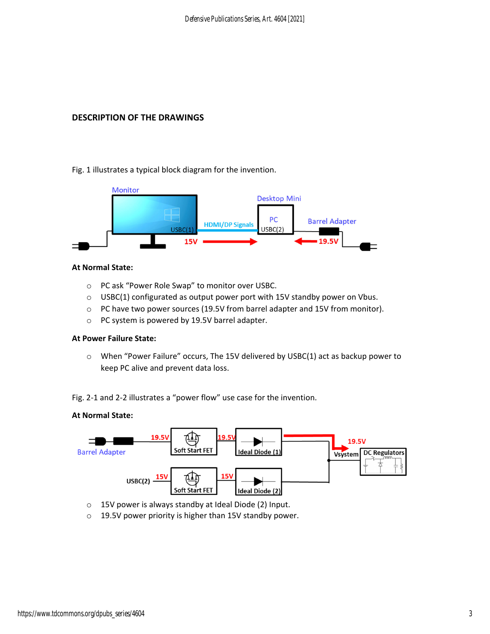#### **DESCRIPTION OF THE DRAWINGS**

Fig. 1 illustrates a typical block diagram for the invention.



#### **At Normal State:**

- o PC ask "Power Role Swap" to monitor over USBC.
- $\circ$  USBC(1) configurated as output power port with 15V standby power on Vbus.
- o PC have two power sources (19.5V from barrel adapter and 15V from monitor).
- o PC system is powered by 19.5V barrel adapter.

#### **At Power Failure State:**

o When "Power Failure" occurs, The 15V delivered by USBC(1) act as backup power to keep PC alive and prevent data loss.

Fig. 2‐1 and 2‐2 illustrates a "power flow" use case for the invention.

#### **At Normal State:**



o 15V power is always standby at Ideal Diode (2) Input.

o 19.5V power priority is higher than 15V standby power.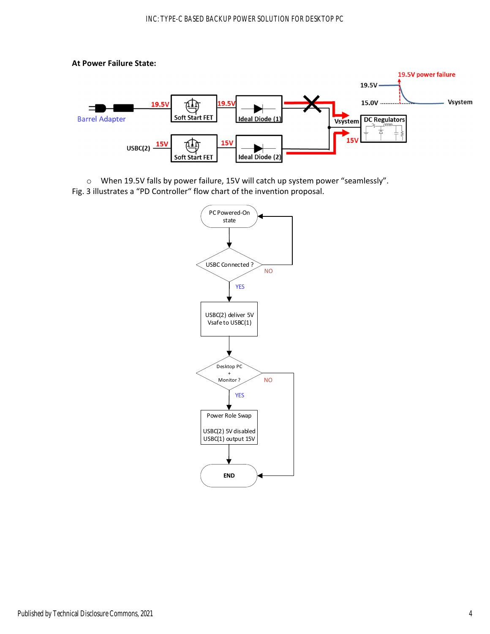#### **At Power Failure State:**



o When 19.5V falls by power failure, 15V will catch up system power "seamlessly". Fig. 3 illustrates a "PD Controller" flow chart of the invention proposal.